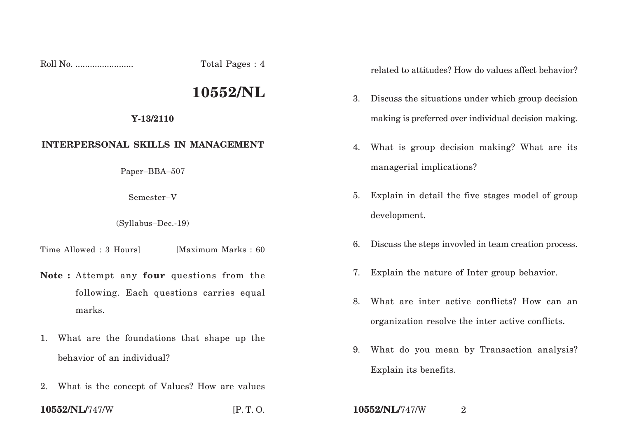Roll No. ........................ Total Pages : 4

## **10552/NL**

## **Y-13/2110**

## **INTERPERSONAL SKILLS IN MANAGEMENT**

Paper–BBA–507

Semester–V

(Syllabus–Dec.-19)

Time Allowed : 3 Hours [Maximum Marks : 60]

- **Note :** Attempt any **four** questions from the following. Each questions carries equal marks.
- 1. What are the foundations that shape up the behavior of an individual?
- 2. What is the concept of Values? How are values

related to attitudes? How do values affect behavior?

- 3. Discuss the situations under which group decision making is preferred over individual decision making.
- 4. What is group decision making? What are its managerial implications?
- 5. Explain in detail the five stages model of group development.
- 6. Discuss the steps invovled in team creation process.
- 7. Explain the nature of Inter group behavior.
- 8. What are inter active conflicts? How can an organization resolve the inter active conflicts.
- 9. What do you mean by Transaction analysis? Explain its benefits.

**10552/NL/**747/W [P. T. O. **10552/NL/**747/W <sup>2</sup>